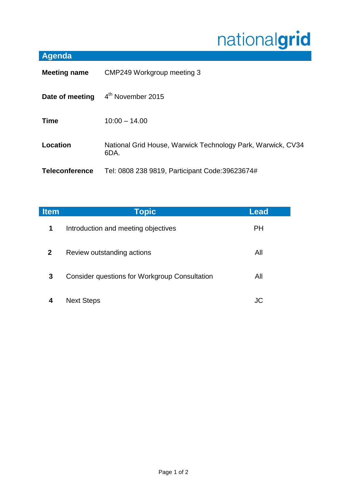## nationalgrid

## **Agenda**

| <b>Meeting name</b>   | CMP249 Workgroup meeting 3                                          |  |
|-----------------------|---------------------------------------------------------------------|--|
| Date of meeting       | 4 <sup>th</sup> November 2015                                       |  |
| <b>Time</b>           | $10:00 - 14.00$                                                     |  |
| Location              | National Grid House, Warwick Technology Park, Warwick, CV34<br>6DA. |  |
| <b>Teleconference</b> | Tel: 0808 238 9819, Participant Code: 39623674#                     |  |

| <b>Item</b>    | <b>Topic</b>                                         | Lead      |
|----------------|------------------------------------------------------|-----------|
| $\mathbf 1$    | Introduction and meeting objectives                  | <b>PH</b> |
| 2 <sup>1</sup> | Review outstanding actions                           | All       |
| 3              | <b>Consider questions for Workgroup Consultation</b> | All       |
|                | <b>Next Steps</b>                                    | JC        |